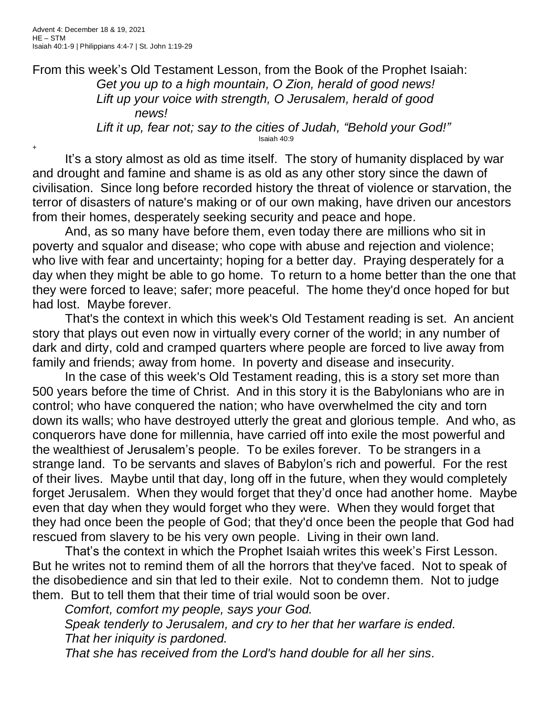+

From this week's Old Testament Lesson, from the Book of the Prophet Isaiah: *Get you up to a high mountain, O Zion, herald of good news! Lift up your voice with strength, O Jerusalem, herald of good news! Lift it up, fear not; say to the cities of Judah, "Behold your God!"* Isaiah 40:9

It's a story almost as old as time itself. The story of humanity displaced by war and drought and famine and shame is as old as any other story since the dawn of civilisation. Since long before recorded history the threat of violence or starvation, the terror of disasters of nature's making or of our own making, have driven our ancestors from their homes, desperately seeking security and peace and hope.

And, as so many have before them, even today there are millions who sit in poverty and squalor and disease; who cope with abuse and rejection and violence; who live with fear and uncertainty; hoping for a better day. Praying desperately for a day when they might be able to go home. To return to a home better than the one that they were forced to leave; safer; more peaceful. The home they'd once hoped for but had lost. Maybe forever.

That's the context in which this week's Old Testament reading is set. An ancient story that plays out even now in virtually every corner of the world; in any number of dark and dirty, cold and cramped quarters where people are forced to live away from family and friends; away from home. In poverty and disease and insecurity.

In the case of this week's Old Testament reading, this is a story set more than 500 years before the time of Christ. And in this story it is the Babylonians who are in control; who have conquered the nation; who have overwhelmed the city and torn down its walls; who have destroyed utterly the great and glorious temple. And who, as conquerors have done for millennia, have carried off into exile the most powerful and the wealthiest of Jerusalem's people. To be exiles forever. To be strangers in a strange land. To be servants and slaves of Babylon's rich and powerful. For the rest of their lives. Maybe until that day, long off in the future, when they would completely forget Jerusalem. When they would forget that they'd once had another home. Maybe even that day when they would forget who they were. When they would forget that they had once been the people of God; that they'd once been the people that God had rescued from slavery to be his very own people. Living in their own land.

That's the context in which the Prophet Isaiah writes this week's First Lesson. But he writes not to remind them of all the horrors that they've faced. Not to speak of the disobedience and sin that led to their exile. Not to condemn them. Not to judge them. But to tell them that their time of trial would soon be over.

*Comfort, comfort my people, says your God.*

*Speak tenderly to Jerusalem, and cry to her that her warfare is ended. That her iniquity is pardoned.*

*That she has received from the Lord's hand double for all her sins.*